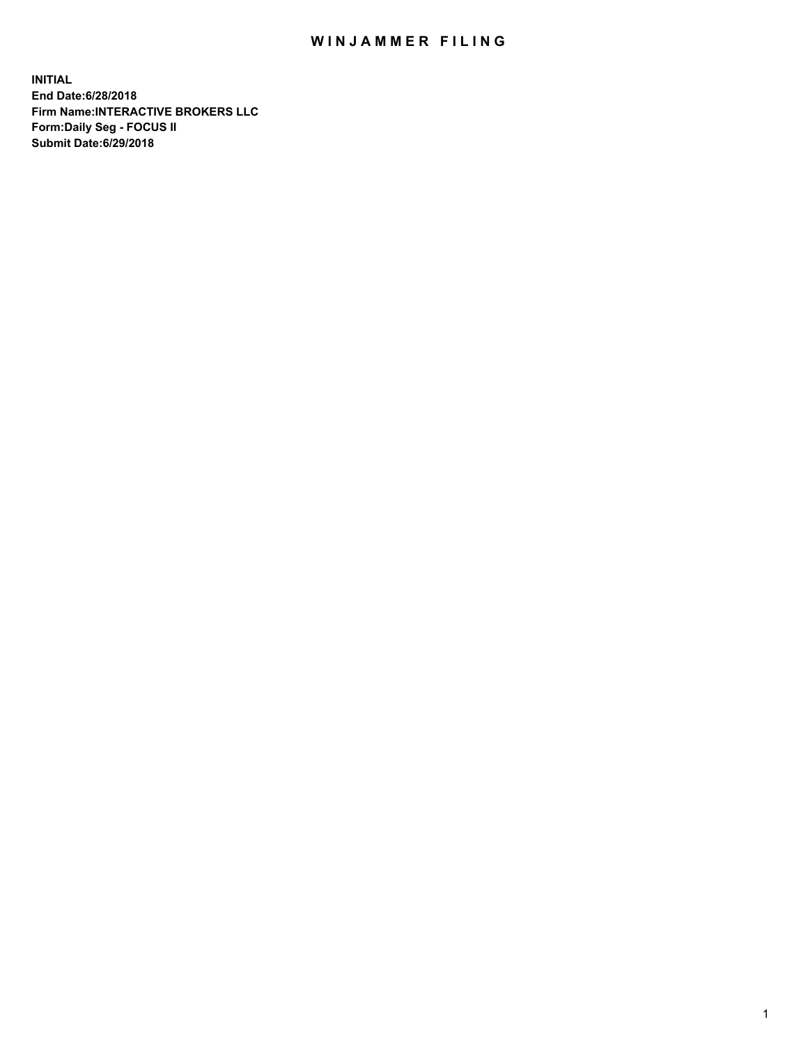## WIN JAMMER FILING

**INITIAL End Date:6/28/2018 Firm Name:INTERACTIVE BROKERS LLC Form:Daily Seg - FOCUS II Submit Date:6/29/2018**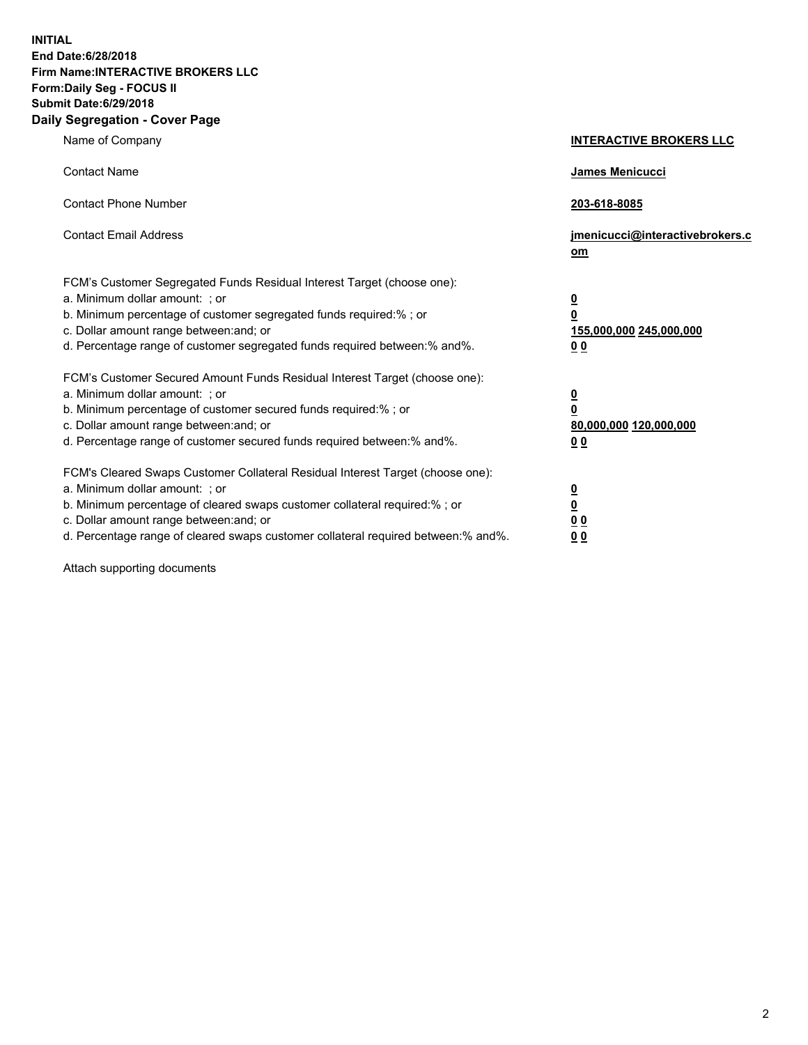**INITIAL End Date:6/28/2018 Firm Name:INTERACTIVE BROKERS LLC Form:Daily Seg - FOCUS II Submit Date:6/29/2018 Daily Segregation - Cover Page**

| Name of Company                                                                                                                                                                                                                                                                                                                | <b>INTERACTIVE BROKERS LLC</b>                                                   |
|--------------------------------------------------------------------------------------------------------------------------------------------------------------------------------------------------------------------------------------------------------------------------------------------------------------------------------|----------------------------------------------------------------------------------|
| <b>Contact Name</b>                                                                                                                                                                                                                                                                                                            | James Menicucci                                                                  |
| <b>Contact Phone Number</b>                                                                                                                                                                                                                                                                                                    | 203-618-8085                                                                     |
| <b>Contact Email Address</b>                                                                                                                                                                                                                                                                                                   | jmenicucci@interactivebrokers.c<br>om                                            |
| FCM's Customer Segregated Funds Residual Interest Target (choose one):<br>a. Minimum dollar amount: ; or<br>b. Minimum percentage of customer segregated funds required:% ; or<br>c. Dollar amount range between: and; or<br>d. Percentage range of customer segregated funds required between:% and%.                         | <u>0</u><br>$\overline{\mathbf{0}}$<br>155,000,000 245,000,000<br>0 <sub>0</sub> |
| FCM's Customer Secured Amount Funds Residual Interest Target (choose one):<br>a. Minimum dollar amount: ; or<br>b. Minimum percentage of customer secured funds required:% ; or<br>c. Dollar amount range between: and; or<br>d. Percentage range of customer secured funds required between:% and%.                           | <u>0</u><br>$\overline{\mathbf{0}}$<br>80,000,000 120,000,000<br>0 <sub>0</sub>  |
| FCM's Cleared Swaps Customer Collateral Residual Interest Target (choose one):<br>a. Minimum dollar amount: ; or<br>b. Minimum percentage of cleared swaps customer collateral required:% ; or<br>c. Dollar amount range between: and; or<br>d. Percentage range of cleared swaps customer collateral required between:% and%. | <u>0</u><br>$\underline{\mathbf{0}}$<br>0 <sub>0</sub><br>0 <sub>0</sub>         |

Attach supporting documents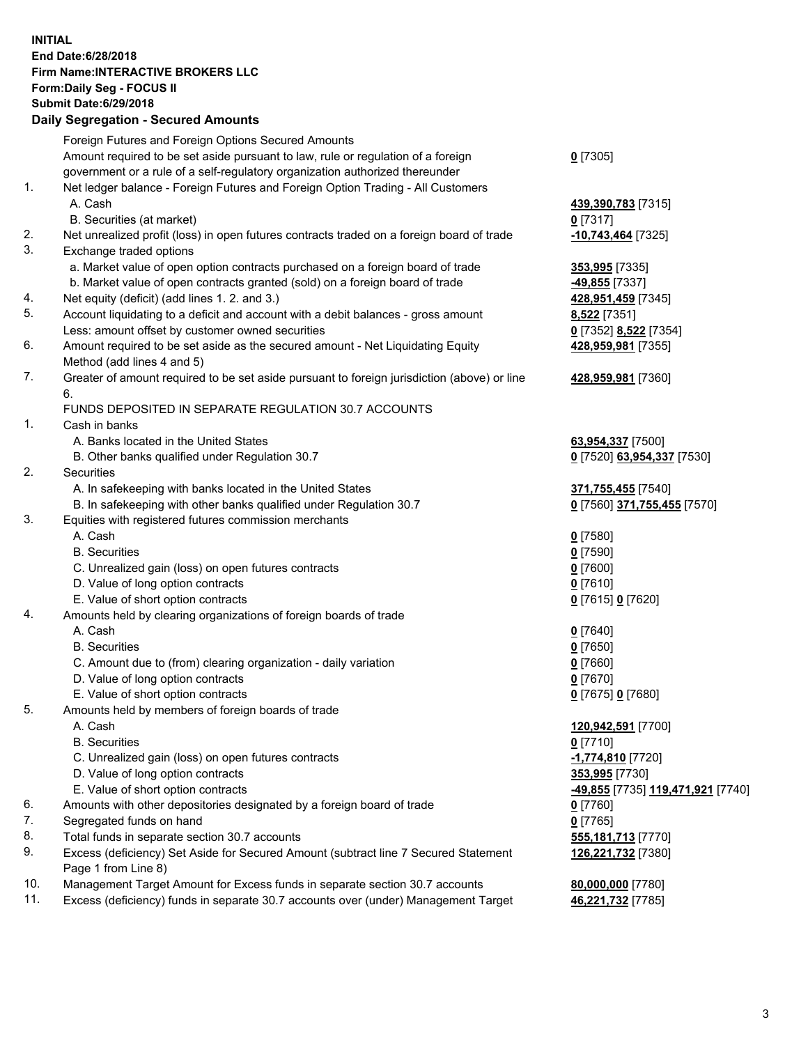## **INITIAL End Date:6/28/2018 Firm Name:INTERACTIVE BROKERS LLC Form:Daily Seg - FOCUS II Submit Date:6/29/2018 Daily Segregation - Secured Amounts**

|     | Daily Jegiegation - Jeculeu Aniounts                                                                       |                                                |
|-----|------------------------------------------------------------------------------------------------------------|------------------------------------------------|
|     | Foreign Futures and Foreign Options Secured Amounts                                                        |                                                |
|     | Amount required to be set aside pursuant to law, rule or regulation of a foreign                           | $0$ [7305]                                     |
|     | government or a rule of a self-regulatory organization authorized thereunder                               |                                                |
| 1.  | Net ledger balance - Foreign Futures and Foreign Option Trading - All Customers                            |                                                |
|     | A. Cash                                                                                                    | 439,390,783 [7315]                             |
|     | B. Securities (at market)                                                                                  | $0$ [7317]                                     |
| 2.  | Net unrealized profit (loss) in open futures contracts traded on a foreign board of trade                  | -10,743,464 [7325]                             |
| 3.  | Exchange traded options                                                                                    |                                                |
|     | a. Market value of open option contracts purchased on a foreign board of trade                             | 353,995 [7335]                                 |
|     | b. Market value of open contracts granted (sold) on a foreign board of trade                               | 49,855 [7337]                                  |
| 4.  | Net equity (deficit) (add lines 1. 2. and 3.)                                                              | 428,951,459 [7345]                             |
| 5.  | Account liquidating to a deficit and account with a debit balances - gross amount                          | 8,522 [7351]                                   |
|     | Less: amount offset by customer owned securities                                                           | 0 [7352] 8,522 [7354]                          |
| 6.  | Amount required to be set aside as the secured amount - Net Liquidating Equity                             | 428,959,981 [7355]                             |
|     | Method (add lines 4 and 5)                                                                                 |                                                |
| 7.  | Greater of amount required to be set aside pursuant to foreign jurisdiction (above) or line                | 428,959,981 [7360]                             |
|     | 6.                                                                                                         |                                                |
|     | FUNDS DEPOSITED IN SEPARATE REGULATION 30.7 ACCOUNTS                                                       |                                                |
| 1.  | Cash in banks                                                                                              |                                                |
|     | A. Banks located in the United States                                                                      | 63,954,337 [7500]                              |
|     | B. Other banks qualified under Regulation 30.7                                                             | 0 [7520] 63,954,337 [7530]                     |
| 2.  | Securities                                                                                                 |                                                |
|     | A. In safekeeping with banks located in the United States                                                  | 371,755,455 [7540]                             |
|     | B. In safekeeping with other banks qualified under Regulation 30.7                                         | 0 [7560] 371,755,455 [7570]                    |
| 3.  | Equities with registered futures commission merchants                                                      |                                                |
|     | A. Cash                                                                                                    | $0$ [7580]                                     |
|     | <b>B.</b> Securities                                                                                       | $0$ [7590]                                     |
|     | C. Unrealized gain (loss) on open futures contracts                                                        | $0$ [7600]                                     |
|     | D. Value of long option contracts                                                                          | $0$ [7610]                                     |
|     | E. Value of short option contracts                                                                         | 0 [7615] 0 [7620]                              |
| 4.  | Amounts held by clearing organizations of foreign boards of trade                                          |                                                |
|     | A. Cash                                                                                                    | $0$ [7640]                                     |
|     | <b>B.</b> Securities                                                                                       | $0$ [7650]                                     |
|     | C. Amount due to (from) clearing organization - daily variation                                            | $0$ [7660]                                     |
|     | D. Value of long option contracts                                                                          | $0$ [7670]                                     |
|     | E. Value of short option contracts                                                                         | 0 [7675] 0 [7680]                              |
| 5.  | Amounts held by members of foreign boards of trade                                                         |                                                |
|     | A. Cash                                                                                                    | 120,942,591 [7700]                             |
|     | <b>B.</b> Securities                                                                                       | $0$ [7710]                                     |
|     | C. Unrealized gain (loss) on open futures contracts                                                        | -1,774,810 [7720]                              |
|     | D. Value of long option contracts                                                                          | 353,995 [7730]                                 |
|     | E. Value of short option contracts                                                                         | <mark>-49,855</mark> [7735] 119,471,921 [7740] |
| 6.  | Amounts with other depositories designated by a foreign board of trade                                     | 0 [7760]                                       |
| 7.  | Segregated funds on hand                                                                                   | $0$ [7765]                                     |
| 8.  | Total funds in separate section 30.7 accounts                                                              | 555, 181, 713 [7770]                           |
| 9.  | Excess (deficiency) Set Aside for Secured Amount (subtract line 7 Secured Statement<br>Page 1 from Line 8) | 126,221,732 [7380]                             |
| 10. | Management Target Amount for Excess funds in separate section 30.7 accounts                                | 80,000,000 [7780]                              |
| 11. | Excess (deficiency) funds in separate 30.7 accounts over (under) Management Target                         | 46,221,732 [7785]                              |
|     |                                                                                                            |                                                |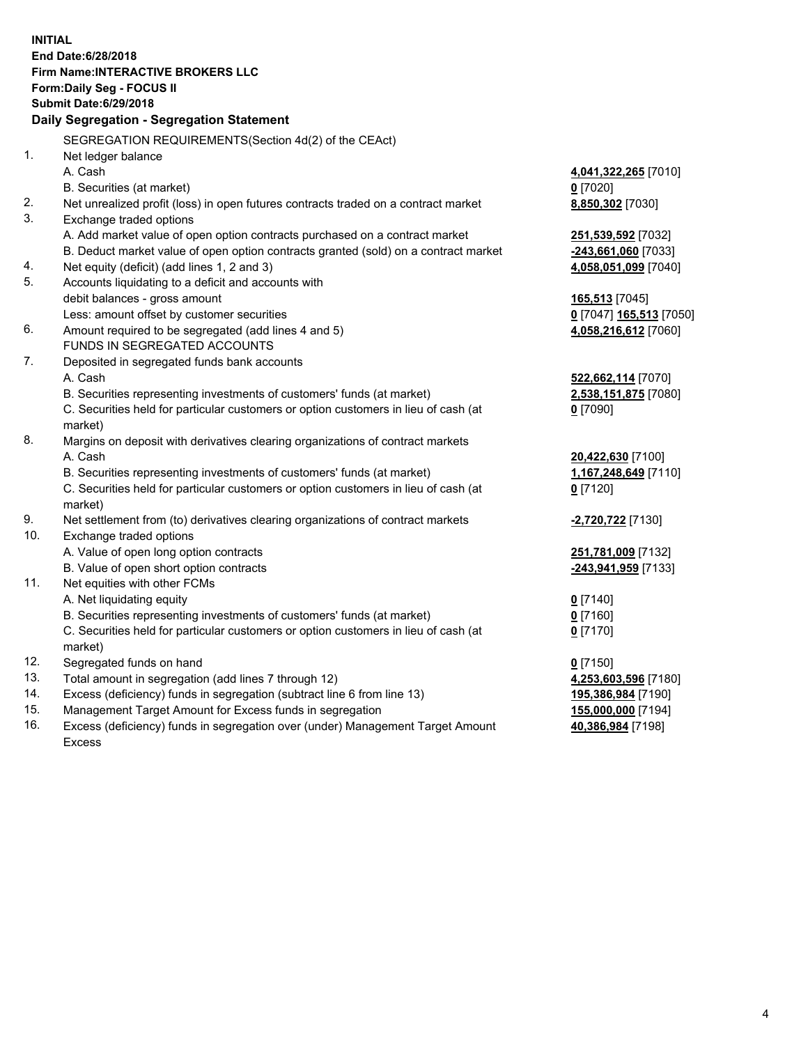**INITIAL End Date:6/28/2018 Firm Name:INTERACTIVE BROKERS LLC Form:Daily Seg - FOCUS II Submit Date:6/29/2018 Daily Segregation - Segregation Statement** SEGREGATION REQUIREMENTS(Section 4d(2) of the CEAct) 1. Net ledger balance A. Cash **4,041,322,265** [7010] B. Securities (at market) **0** [7020] 2. Net unrealized profit (loss) in open futures contracts traded on a contract market **8,850,302** [7030] 3. Exchange traded options A. Add market value of open option contracts purchased on a contract market **251,539,592** [7032] B. Deduct market value of open option contracts granted (sold) on a contract market **-243,661,060** [7033] 4. Net equity (deficit) (add lines 1, 2 and 3) **4,058,051,099** [7040] 5. Accounts liquidating to a deficit and accounts with debit balances - gross amount **165,513** [7045] Less: amount offset by customer securities **0** [7047] **165,513** [7050] 6. Amount required to be segregated (add lines 4 and 5) **4,058,216,612** [7060] FUNDS IN SEGREGATED ACCOUNTS 7. Deposited in segregated funds bank accounts A. Cash **522,662,114** [7070] B. Securities representing investments of customers' funds (at market) **2,538,151,875** [7080] C. Securities held for particular customers or option customers in lieu of cash (at market) **0** [7090] 8. Margins on deposit with derivatives clearing organizations of contract markets A. Cash **20,422,630** [7100] B. Securities representing investments of customers' funds (at market) **1,167,248,649** [7110] C. Securities held for particular customers or option customers in lieu of cash (at market) **0** [7120] 9. Net settlement from (to) derivatives clearing organizations of contract markets **-2,720,722** [7130] 10. Exchange traded options A. Value of open long option contracts **251,781,009** [7132] B. Value of open short option contracts **-243,941,959** [7133] 11. Net equities with other FCMs A. Net liquidating equity **0** [7140] B. Securities representing investments of customers' funds (at market) **0** [7160] C. Securities held for particular customers or option customers in lieu of cash (at market) **0** [7170] 12. Segregated funds on hand **0** [7150] 13. Total amount in segregation (add lines 7 through 12) **4,253,603,596** [7180] 14. Excess (deficiency) funds in segregation (subtract line 6 from line 13) **195,386,984** [7190] 15. Management Target Amount for Excess funds in segregation **155,000,000** [7194] 16. Excess (deficiency) funds in segregation over (under) Management Target Amount **40,386,984** [7198]

Excess